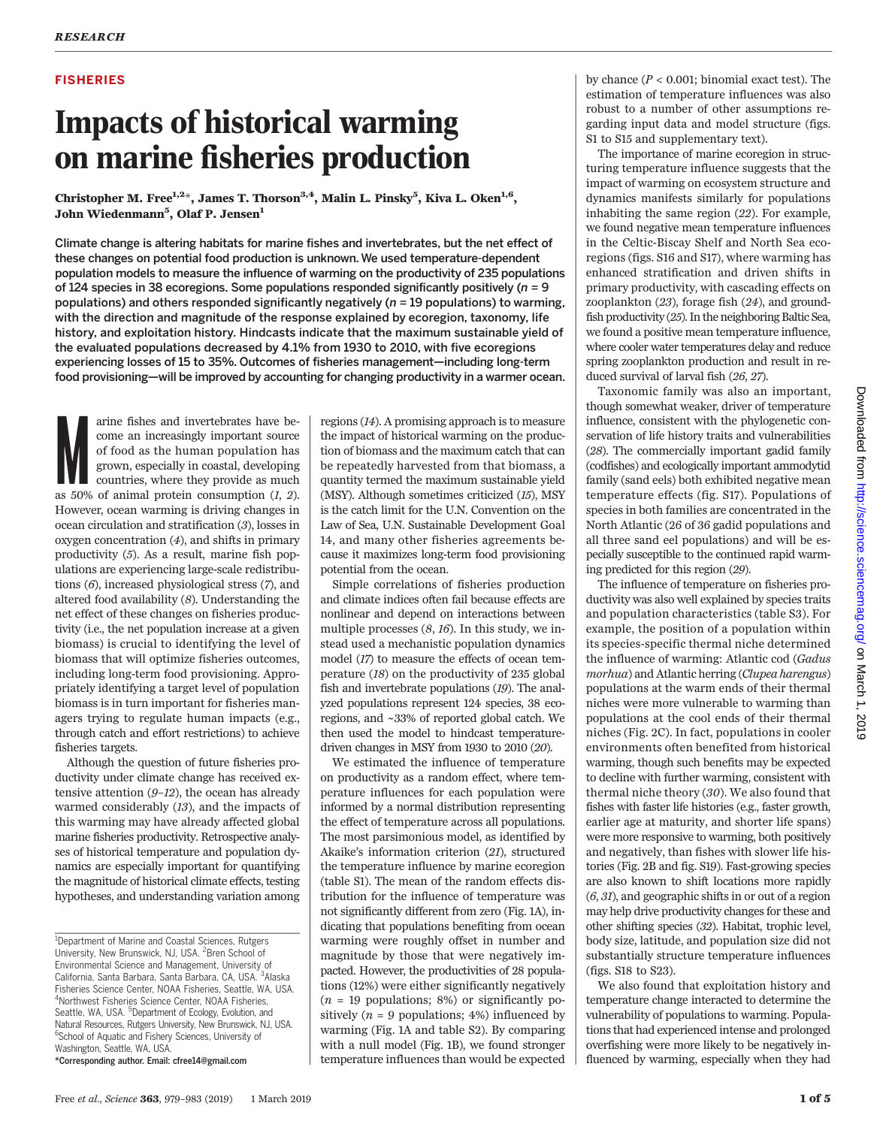## FISHERIES

# Impacts of historical warming on marine fisheries production

Christopher M. Free $^{1,2+}$ , James T. Thorson $^{3,4}$ , Malin L. Pinsky $^5$ , Kiva L. Oken $^{1,6},$ John Wiedenmann<sup>5</sup>. Olaf P. Jensen<sup>1</sup>

Climate change is altering habitats for marine fishes and invertebrates, but the net effect of these changes on potential food production is unknown. We used temperature-dependent population models to measure the influence of warming on the productivity of 235 populations of 124 species in 38 ecoregions. Some populations responded significantly positively ( $n = 9$ ) populations) and others responded significantly negatively ( $n = 19$  populations) to warming, with the direction and magnitude of the response explained by ecoregion, taxonomy, life history, and exploitation history. Hindcasts indicate that the maximum sustainable yield of the evaluated populations decreased by 4.1% from 1930 to 2010, with five ecoregions experiencing losses of 15 to 35%. Outcomes of fisheries management—including long-term food provisioning—will be improved by accounting for changing productivity in a warmer ocean.

arine fishes and invertebrates have become an increasingly important source of food as the human population has grown, especially in coastal, developing countries, where they provide as much as 50% of animal protein consum arine fishes and invertebrates have become an increasingly important source of food as the human population has grown, especially in coastal, developing countries, where they provide as much However, ocean warming is driving changes in ocean circulation and stratification (3), losses in oxygen concentration (4), and shifts in primary productivity (5). As a result, marine fish populations are experiencing large-scale redistributions (6), increased physiological stress (7), and altered food availability (8). Understanding the net effect of these changes on fisheries productivity (i.e., the net population increase at a given biomass) is crucial to identifying the level of biomass that will optimize fisheries outcomes, including long-term food provisioning. Appropriately identifying a target level of population biomass is in turn important for fisheries managers trying to regulate human impacts (e.g., through catch and effort restrictions) to achieve fisheries targets.

Although the question of future fisheries productivity under climate change has received extensive attention  $(9-I2)$ , the ocean has already warmed considerably (13), and the impacts of this warming may have already affected global marine fisheries productivity. Retrospective analyses of historical temperature and population dynamics are especially important for quantifying the magnitude of historical climate effects, testing hypotheses, and understanding variation among

\*Corresponding author. Email: cfree14@gmail.com

regions (14). A promising approach is to measure the impact of historical warming on the production of biomass and the maximum catch that can be repeatedly harvested from that biomass, a quantity termed the maximum sustainable yield (MSY). Although sometimes criticized (15), MSY is the catch limit for the U.N. Convention on the Law of Sea, U.N. Sustainable Development Goal 14, and many other fisheries agreements because it maximizes long-term food provisioning potential from the ocean.

Simple correlations of fisheries production and climate indices often fail because effects are nonlinear and depend on interactions between multiple processes  $(8, 16)$ . In this study, we instead used a mechanistic population dynamics model (17) to measure the effects of ocean temperature (18) on the productivity of 235 global fish and invertebrate populations (19). The analyzed populations represent 124 species, 38 ecoregions, and ~33% of reported global catch. We then used the model to hindcast temperaturedriven changes in MSY from 1930 to 2010 (20).

We estimated the influence of temperature on productivity as a random effect, where temperature influences for each population were informed by a normal distribution representing the effect of temperature across all populations. The most parsimonious model, as identified by Akaike's information criterion (21), structured the temperature influence by marine ecoregion (table S1). The mean of the random effects distribution for the influence of temperature was not significantly different from zero (Fig. 1A), indicating that populations benefiting from ocean warming were roughly offset in number and magnitude by those that were negatively impacted. However, the productivities of 28 populations (12%) were either significantly negatively  $(n = 19$  populations; 8%) or significantly positively ( $n = 9$  populations; 4%) influenced by warming (Fig. 1A and table S2). By comparing with a null model (Fig. 1B), we found stronger temperature influences than would be expected by chance  $(P < 0.001$ ; binomial exact test). The estimation of temperature influences was also robust to a number of other assumptions regarding input data and model structure (figs. S1 to S15 and supplementary text).

The importance of marine ecoregion in structuring temperature influence suggests that the impact of warming on ecosystem structure and dynamics manifests similarly for populations inhabiting the same region (22). For example, we found negative mean temperature influences in the Celtic-Biscay Shelf and North Sea ecoregions (figs. S16 and S17), where warming has enhanced stratification and driven shifts in primary productivity, with cascading effects on zooplankton (23), forage fish (24), and groundfish productivity (25). In the neighboring Baltic Sea, we found a positive mean temperature influence, where cooler water temperatures delay and reduce spring zooplankton production and result in reduced survival of larval fish (26, 27).

Taxonomic family was also an important, though somewhat weaker, driver of temperature influence, consistent with the phylogenetic conservation of life history traits and vulnerabilities (28). The commercially important gadid family (codfishes) and ecologically important ammodytid family (sand eels) both exhibited negative mean temperature effects (fig. S17). Populations of species in both families are concentrated in the North Atlantic (26 of 36 gadid populations and all three sand eel populations) and will be especially susceptible to the continued rapid warming predicted for this region (29).

The influence of temperature on fisheries productivity was also well explained by species traits and population characteristics (table S3). For example, the position of a population within its species-specific thermal niche determined the influence of warming: Atlantic cod (Gadus morhua) and Atlantic herring (Clupea harengus) populations at the warm ends of their thermal niches were more vulnerable to warming than populations at the cool ends of their thermal niches (Fig. 2C). In fact, populations in cooler environments often benefited from historical warming, though such benefits may be expected to decline with further warming, consistent with thermal niche theory (30). We also found that fishes with faster life histories (e.g., faster growth, earlier age at maturity, and shorter life spans) were more responsive to warming, both positively and negatively, than fishes with slower life histories (Fig. 2B and fig. S19). Fast-growing species are also known to shift locations more rapidly (6, 31), and geographic shifts in or out of a region may help drive productivity changes for these and other shifting species (32). Habitat, trophic level, body size, latitude, and population size did not substantially structure temperature influences (figs. S18 to S23).

We also found that exploitation history and temperature change interacted to determine the vulnerability of populations to warming. Populations that had experienced intense and prolonged overfishing were more likely to be negatively influenced by warming, especially when they had

<sup>&</sup>lt;sup>1</sup>Department of Marine and Coastal Sciences, Rutgers University, New Brunswick, NJ, USA. <sup>2</sup> Bren School of Environmental Science and Management, University of California, Santa Barbara, Santa Barbara, CA, USA. <sup>3</sup>Alaska Fisheries Science Center, NOAA Fisheries, Seattle, WA, USA. 4 Northwest Fisheries Science Center, NOAA Fisheries, Seattle, WA, USA. <sup>5</sup>Department of Ecology, Evolution, and Natural Resources, Rutgers University, New Brunswick, NJ, USA. <sup>6</sup>School of Aquatic and Fishery Sciences, University of Washington, Seattle, WA, USA.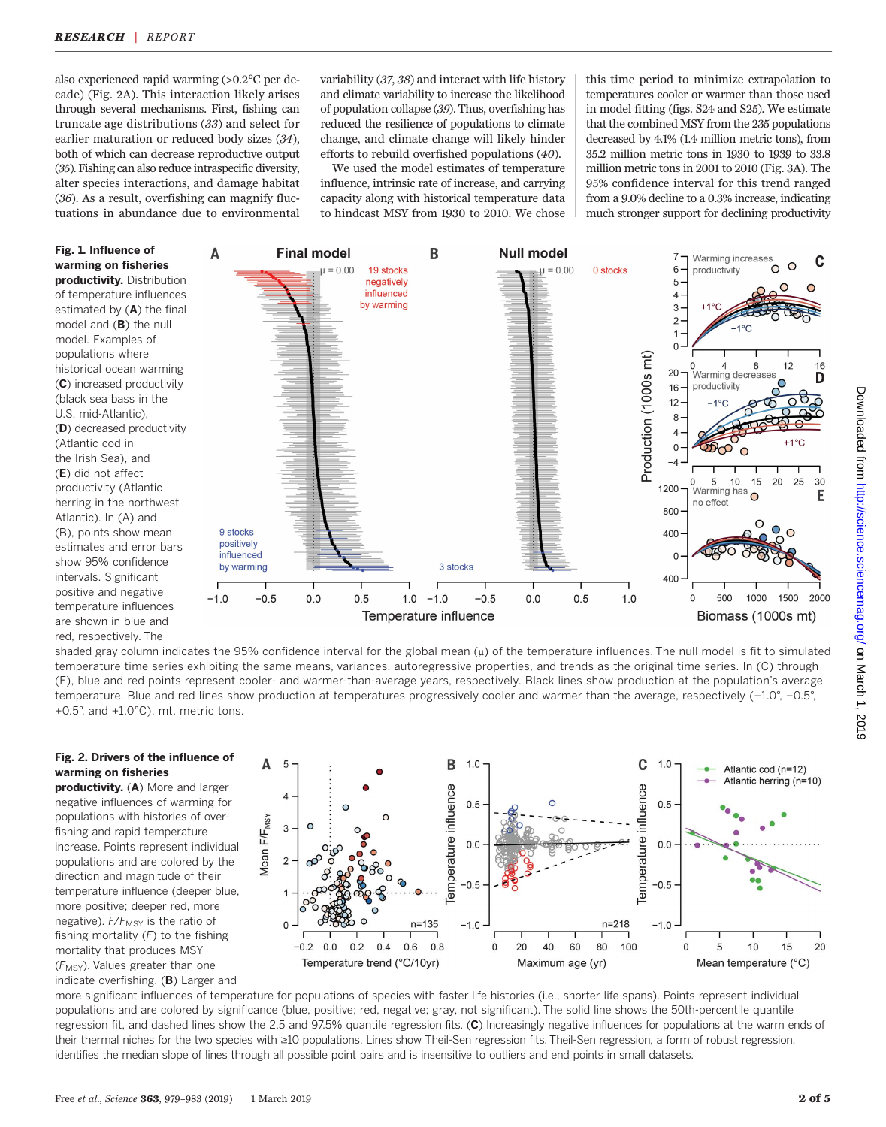also experienced rapid warming (>0.2°C per decade) (Fig. 2A). This interaction likely arises through several mechanisms. First, fishing can truncate age distributions (33) and select for earlier maturation or reduced body sizes (34), both of which can decrease reproductive output (35). Fishing can also reduce intraspecific diversity, alter species interactions, and damage habitat (36). As a result, overfishing can magnify fluctuations in abundance due to environmental

variability (37, 38) and interact with life history and climate variability to increase the likelihood of population collapse (39). Thus, overfishing has reduced the resilience of populations to climate change, and climate change will likely hinder efforts to rebuild overfished populations (40).

We used the model estimates of temperature influence, intrinsic rate of increase, and carrying capacity along with historical temperature data to hindcast MSY from 1930 to 2010. We chose

this time period to minimize extrapolation to temperatures cooler or warmer than those used in model fitting (figs. S24 and S25). We estimate that the combined MSY from the 235 populations decreased by 4.1% (1.4 million metric tons), from 35.2 million metric tons in 1930 to 1939 to 33.8 million metric tons in 2001 to 2010 (Fig. 3A). The 95% confidence interval for this trend ranged from a 9.0% decline to a 0.3% increase, indicating much stronger support for declining productivity



shaded gray column indicates the 95% confidence interval for the global mean (µ) of the temperature influences. The null model is fit to simulated temperature time series exhibiting the same means, variances, autoregressive properties, and trends as the original time series. In (C) through (E), blue and red points represent cooler- and warmer-than-average years, respectively. Black lines show production at the population's average temperature. Blue and red lines show production at temperatures progressively cooler and warmer than the average, respectively (−1.0°, −0.5°, +0.5°, and +1.0°C). mt, metric tons.

# Fig. 2. Drivers of the influence of warming on fisheries

productivity. (A) More and larger negative influences of warming for populations with histories of overfishing and rapid temperature increase. Points represent individual populations and are colored by the direction and magnitude of their temperature influence (deeper blue, more positive; deeper red, more negative).  $F/F_{\text{MSY}}$  is the ratio of fishing mortality  $(F)$  to the fishing mortality that produces MSY  $(F_{MSY})$ . Values greater than one indicate overfishing. (B) Larger and



more significant influences of temperature for populations of species with faster life histories (i.e., shorter life spans). Points represent individual populations and are colored by significance (blue, positive; red, negative; gray, not significant). The solid line shows the 50th-percentile quantile regression fit, and dashed lines show the 2.5 and 97.5% quantile regression fits. (C) Increasingly negative influences for populations at the warm ends of their thermal niches for the two species with ≥10 populations. Lines show Theil-Sen regression fits. Theil-Sen regression, a form of robust regression, identifies the median slope of lines through all possible point pairs and is insensitive to outliers and end points in small datasets.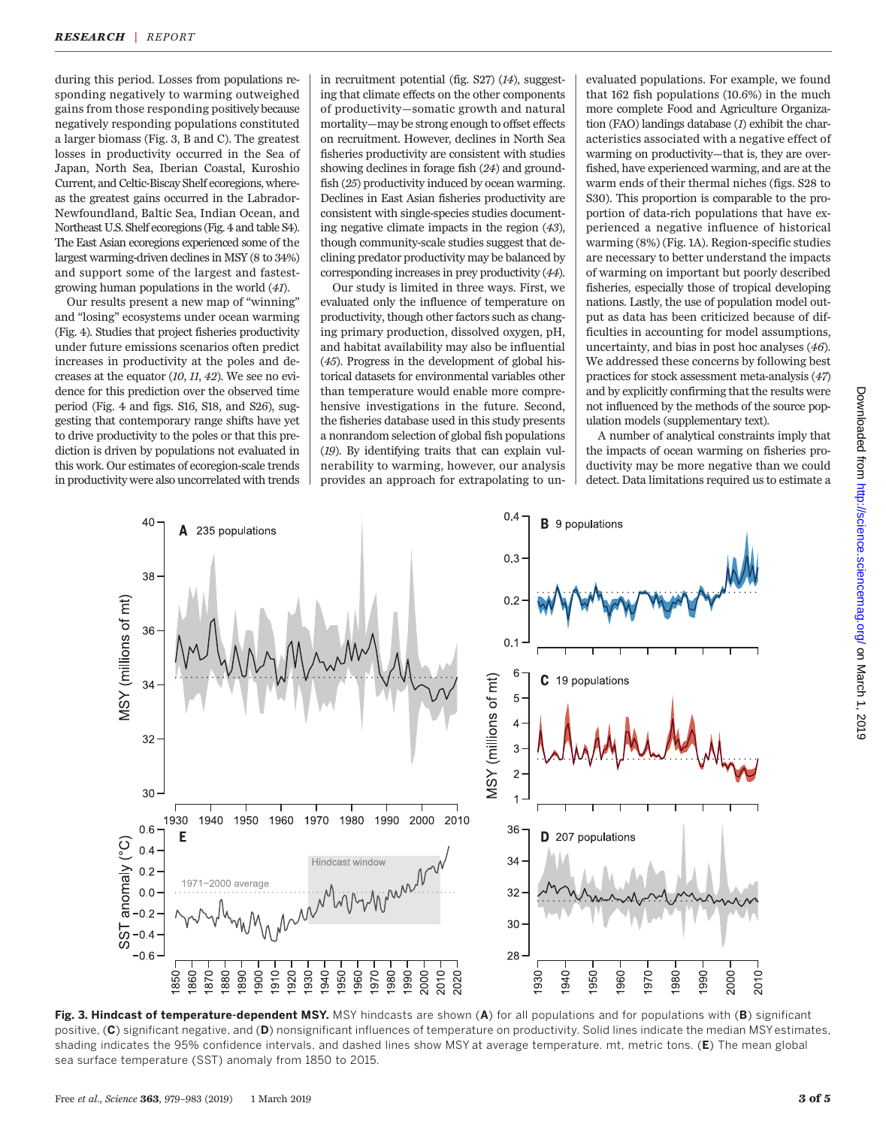during this period. Losses from populations responding negatively to warming outweighed gains from those responding positively because negatively responding populations constituted a larger biomass (Fig. 3, B and C). The greatest losses in productivity occurred in the Sea of Japan, North Sea, Iberian Coastal, Kuroshio Current, and Celtic-Biscay Shelf ecoregions, whereas the greatest gains occurred in the Labrador-Newfoundland, Baltic Sea, Indian Ocean, and Northeast U.S. Shelf ecoregions (Fig. 4 and table S4). The East Asian ecoregions experienced some of the largest warming-driven declines in MSY (8 to 34%) and support some of the largest and fastestgrowing human populations in the world (41).

Our results present a new map of "winning" and "losing" ecosystems under ocean warming (Fig. 4). Studies that project fisheries productivity under future emissions scenarios often predict increases in productivity at the poles and decreases at the equator (10, 11, 42). We see no evidence for this prediction over the observed time period (Fig. 4 and figs. S16, S18, and S26), suggesting that contemporary range shifts have yet to drive productivity to the poles or that this prediction is driven by populations not evaluated in this work. Our estimates of ecoregion-scale trends in productivity were also uncorrelated with trends

in recruitment potential (fig. S27) (14), suggesting that climate effects on the other components of productivity—somatic growth and natural mortality—may be strong enough to offset effects on recruitment. However, declines in North Sea fisheries productivity are consistent with studies showing declines in forage fish (24) and groundfish (25) productivity induced by ocean warming. Declines in East Asian fisheries productivity are consistent with single-species studies documenting negative climate impacts in the region (43), though community-scale studies suggest that declining predator productivity may be balanced by corresponding increases in prey productivity (44).

Our study is limited in three ways. First, we evaluated only the influence of temperature on productivity, though other factors such as changing primary production, dissolved oxygen, pH, and habitat availability may also be influential (45). Progress in the development of global historical datasets for environmental variables other than temperature would enable more comprehensive investigations in the future. Second, the fisheries database used in this study presents a nonrandom selection of global fish populations (19). By identifying traits that can explain vulnerability to warming, however, our analysis provides an approach for extrapolating to unevaluated populations. For example, we found that 162 fish populations (10.6%) in the much more complete Food and Agriculture Organization (FAO) landings database (1) exhibit the characteristics associated with a negative effect of warming on productivity—that is, they are overfished, have experienced warming, and are at the warm ends of their thermal niches (figs. S28 to S30). This proportion is comparable to the proportion of data-rich populations that have experienced a negative influence of historical warming (8%) (Fig. 1A). Region-specific studies are necessary to better understand the impacts of warming on important but poorly described fisheries, especially those of tropical developing nations. Lastly, the use of population model output as data has been criticized because of difficulties in accounting for model assumptions, uncertainty, and bias in post hoc analyses (46). We addressed these concerns by following best practices for stock assessment meta-analysis (47) and by explicitly confirming that the results were not influenced by the methods of the source population models (supplementary text).

A number of analytical constraints imply that the impacts of ocean warming on fisheries productivity may be more negative than we could detect. Data limitations required us to estimate a



Fig. 3. Hindcast of temperature-dependent MSY. MSY hindcasts are shown (A) for all populations and for populations with (B) significant positive, (C) significant negative, and (D) nonsignificant influences of temperature on productivity. Solid lines indicate the median MSY estimates, shading indicates the 95% confidence intervals, and dashed lines show MSY at average temperature. mt, metric tons. (E) The mean global sea surface temperature (SST) anomaly from 1850 to 2015.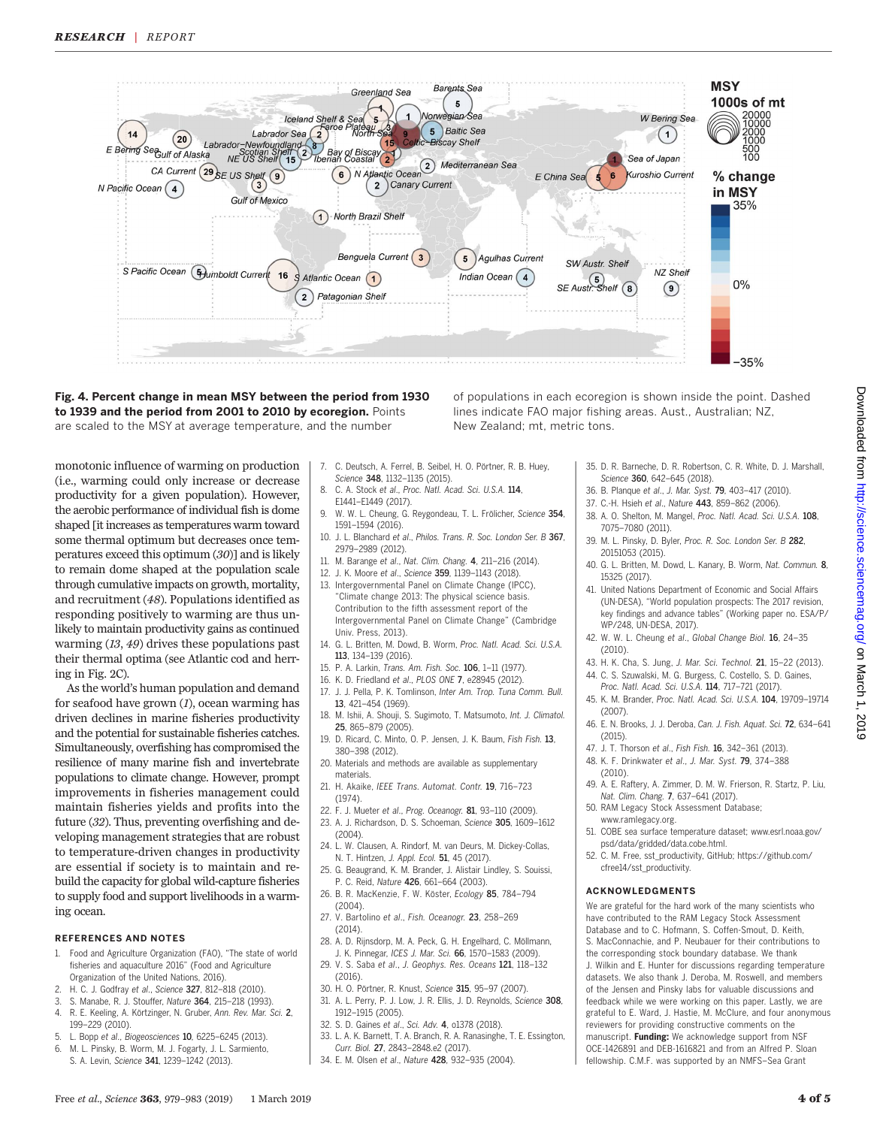

## Fig. 4. Percent change in mean MSY between the period from 1930 to 1939 and the period from 2001 to 2010 by ecoregion. Points are scaled to the MSY at average temperature, and the number

monotonic influence of warming on production (i.e., warming could only increase or decrease productivity for a given population). However, the aerobic performance of individual fish is dome shaped [it increases as temperatures warm toward some thermal optimum but decreases once temperatures exceed this optimum (30)] and is likely to remain dome shaped at the population scale through cumulative impacts on growth, mortality, and recruitment (48). Populations identified as responding positively to warming are thus unlikely to maintain productivity gains as continued warming (13, 49) drives these populations past their thermal optima (see Atlantic cod and herring in Fig. 2C).

As the world's human population and demand for seafood have grown  $(I)$ , ocean warming has driven declines in marine fisheries productivity and the potential for sustainable fisheries catches. Simultaneously, overfishing has compromised the resilience of many marine fish and invertebrate populations to climate change. However, prompt improvements in fisheries management could maintain fisheries yields and profits into the future (32). Thus, preventing overfishing and developing management strategies that are robust to temperature-driven changes in productivity are essential if society is to maintain and rebuild the capacity for global wild-capture fisheries to supply food and support livelihoods in a warming ocean.

#### REFERENCES AND NOTES

- 1. Food and Agriculture Organization (FAO), "The state of world fisheries and aquaculture 2016" (Food and Agriculture Organization of the United Nations, 2016).
- 2. H. C. J. Godfray et al., Science 327, 812–818 (2010).
- 3. S. Manabe, R. J. Stouffer, Nature 364, 215–218 (1993).
- 4. R. E. Keeling, A. Körtzinger, N. Gruber, Ann. Rev. Mar. Sci. 2, 199–229 (2010).
- 5. L. Bopp et al., Biogeosciences 10, 6225–6245 (2013).
- 6. M. L. Pinsky, B. Worm, M. J. Fogarty, J. L. Sarmiento, S. A. Levin, Science 341, 1239–1242 (2013).

7. C. Deutsch, A. Ferrel, B. Seibel, H. O. Pörtner, R. B. Huey,

New Zealand; mt, metric tons.

- Science 348, 1132–1135 (2015). 8. C. A. Stock et al., Proc. Natl. Acad. Sci. U.S.A. 114.
- E1441–E1449 (2017). 9. W. W. L. Cheung, G. Reygondeau, T. L. Frölicher, Science 354,
- 1591–1594 (2016). 10. J. L. Blanchard et al., Philos. Trans. R. Soc. London Ser. B 367, 2979–2989 (2012).
- 11. M. Barange et al., Nat. Clim. Chang. 4, 211–216 (2014).
- 12. J. K. Moore et al., Science 359, 1139–1143 (2018).
- 13. Intergovernmental Panel on Climate Change (IPCC), "Climate change 2013: The physical science basis. Contribution to the fifth assessment report of the Intergovernmental Panel on Climate Change" (Cambridge Univ. Press, 2013).
- 14. G. L. Britten, M. Dowd, B. Worm, Proc. Natl. Acad. Sci. U.S.A. 113, 134–139 (2016).
- 15. P. A. Larkin, Trans. Am. Fish. Soc. 106, 1–11 (1977).
- 16. K. D. Friedland et al., PLOS ONE 7, e28945 (2012).
- 17. J. J. Pella, P. K. Tomlinson, Inter Am. Trop. Tuna Comm. Bull. 13, 421–454 (1969).
- 18. M. Ishii, A. Shouji, S. Sugimoto, T. Matsumoto, Int. J. Climatol. 25, 865–879 (2005).
- 19. D. Ricard, C. Minto, O. P. Jensen, J. K. Baum, Fish Fish. 13, 380–398 (2012).
- 20. Materials and methods are available as supplementary materials.
- 21. H. Akaike, IEEE Trans. Automat. Contr. 19, 716-723 (1974).
- 22. F. J. Mueter et al., Prog. Oceanogr. 81, 93–110 (2009).
- 23. A. J. Richardson, D. S. Schoeman, Science 305, 1609–1612 (2004).
- 24. L. W. Clausen, A. Rindorf, M. van Deurs, M. Dickey-Collas, N. T. Hintzen, J. Appl. Ecol. 51, 45 (2017).
- 25. G. Beaugrand, K. M. Brander, J. Alistair Lindley, S. Souissi, P. C. Reid, Nature 426, 661–664 (2003).
- 26. B. R. MacKenzie, F. W. Köster, Ecology 85, 784–794 (2004).
- 27. V. Bartolino et al., Fish. Oceanogr. 23, 258–269 (2014).
- 28. A. D. Rijnsdorp, M. A. Peck, G. H. Engelhard, C. Möllmann, J. K. Pinnegar, ICES J. Mar. Sci. 66, 1570–1583 (2009).
- 29. V. S. Saba et al., J. Geophys. Res. Oceans 121, 118–132  $(2016)$
- 30. H. O. Pörtner, R. Knust, Science 315, 95–97 (2007). 31. A. L. Perry, P. J. Low, J. R. Ellis, J. D. Reynolds, Science 308. 1912–1915 (2005).
- 32. S. D. Gaines et al., Sci. Adv. 4, o1378 (2018).
- 33. L. A. K. Barnett, T. A. Branch, R. A. Ranasinghe, T. E. Essington, Curr. Biol. 27, 2843–2848.e2 (2017).
- 34. E. M. Olsen et al., Nature 428, 932–935 (2004).
- 35. D. R. Barneche, D. R. Robertson, C. R. White, D. J. Marshall, Science 360, 642-645 (2018).
- 36. B. Planque et al., J. Mar. Syst. 79, 403–417 (2010).

of populations in each ecoregion is shown inside the point. Dashed lines indicate FAO major fishing areas. Aust., Australian; NZ,

- 37. C.-H. Hsieh et al., Nature 443, 859–862 (2006).
- 38. A. O. Shelton, M. Mangel, Proc. Natl. Acad. Sci. U.S.A. 108, 7075–7080 (2011).
- 39. M. L. Pinsky, D. Byler, Proc. R. Soc. London Ser. B 282, 20151053 (2015).
- 40. G. L. Britten, M. Dowd, L. Kanary, B. Worm, Nat. Commun. 8, 15325 (2017).
- 41. United Nations Department of Economic and Social Affairs (UN-DESA), "World population prospects: The 2017 revision, key findings and advance tables" (Working paper no. ESA/P/ WP/248, UN-DESA, 2017).
- 42. W. W. L. Cheung et al., Global Change Biol. 16, 24–35 (2010).
- 43. H. K. Cha, S. Jung, J. Mar. Sci. Technol. 21, 15–22 (2013).
- 44. C. S. Szuwalski, M. G. Burgess, C. Costello, S. D. Gaines, Proc. Natl. Acad. Sci. U.S.A. 114, 717–721 (2017).
- 45. K. M. Brander, Proc. Natl. Acad. Sci. U.S.A. 104, 19709–19714 (2007).
- 46. E. N. Brooks, J. J. Deroba, Can. J. Fish. Aquat. Sci. 72, 634–641  $(2015)$
- 47. J. T. Thorson et al., Fish Fish. 16, 342–361 (2013).
- 48. K. F. Drinkwater et al., J. Mar. Syst. 79, 374–388 (2010).
- 49. A. E. Raftery, A. Zimmer, D. M. W. Frierson, R. Startz, P. Liu, Nat. Clim. Chang. 7, 637–641 (2017).
- 50. RAM Legacy Stock Assessment Database; [www.ramlegacy.org](http://www.ramlegacy.org).
- 51. COBE sea surface temperature dataset; [www.esrl.noaa.gov/](http://www.esrl.noaa.gov/psd/data/gridded/data.cobe.html) [psd/data/gridded/data.cobe.html](http://www.esrl.noaa.gov/psd/data/gridded/data.cobe.html).
- 52. C. M. Free, sst\_productivity, GitHub; [https://github.com/](https://github.com/cfree14/sst_productivity) [cfree14/sst\\_productivity](https://github.com/cfree14/sst_productivity).

#### ACKNOWLEDGMENTS

We are grateful for the hard work of the many scientists who have contributed to the RAM Legacy Stock Assessment Database and to C. Hofmann, S. Coffen-Smout, D. Keith, S. MacConnachie, and P. Neubauer for their contributions to the corresponding stock boundary database. We thank J. Wilkin and E. Hunter for discussions regarding temperature datasets. We also thank J. Deroba, M. Roswell, and members of the Jensen and Pinsky labs for valuable discussions and feedback while we were working on this paper. Lastly, we are grateful to E. Ward, J. Hastie, M. McClure, and four anonymous reviewers for providing constructive comments on the manuscript. Funding: We acknowledge support from NSF OCE-1426891 and DEB-1616821 and from an Alfred P. Sloan fellowship. C.M.F. was supported by an NMFS–Sea Grant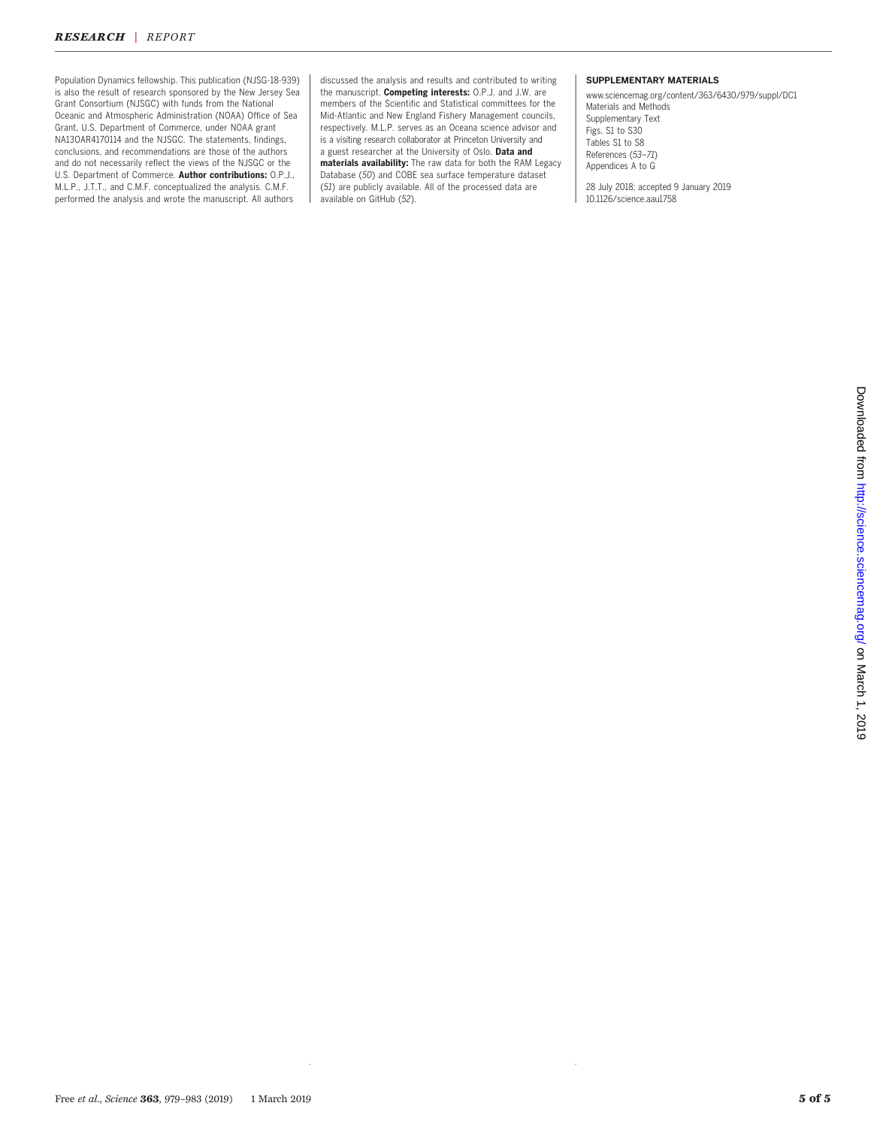## RESEARCH | REPORT

Population Dynamics fellowship. This publication (NJSG-18-939) is also the result of research sponsored by the New Jersey Sea Grant Consortium (NJSGC) with funds from the National Oceanic and Atmospheric Administration (NOAA) Office of Sea Grant, U.S. Department of Commerce, under NOAA grant NA13OAR4170114 and the NJSGC. The statements, findings, conclusions, and recommendations are those of the authors and do not necessarily reflect the views of the NJSGC or the U.S. Department of Commerce. Author contributions: O.P.J., M.L.P., J.T.T., and C.M.F. conceptualized the analysis. C.M.F. performed the analysis and wrote the manuscript. All authors

discussed the analysis and results and contributed to writing the manuscript. Competing interests: O.P.J. and J.W. are members of the Scientific and Statistical committees for the Mid-Atlantic and New England Fishery Management councils, respectively. M.L.P. serves as an Oceana science advisor and is a visiting research collaborator at Princeton University and a guest researcher at the University of Oslo. Data and materials availability: The raw data for both the RAM Legacy Database (50) and COBE sea surface temperature dataset (51) are publicly available. All of the processed data are available on GitHub (52).

### SUPPLEMENTARY MATERIALS

[www.sciencemag.org/content/363/6430/979/suppl/DC1](http://www.sciencemag.org/content/363/6430/979/suppl/DC1) Materials and Methods Supplementary Text Figs. S1 to S30 Tables S1 to S8 References (53–71) Appendices A to G

28 July 2018; accepted 9 January 2019 10.1126/science.aau1758